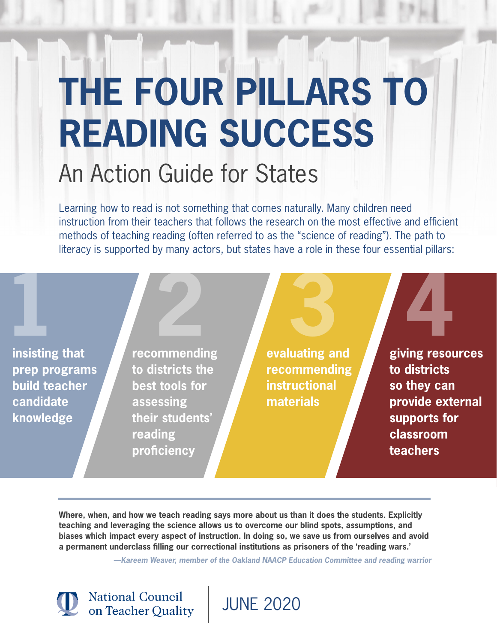# **THE FOUR PILLARS TO READING SUCCESS** An Action Guide for States

Learning how to read is not something that comes naturally. Many children need instruction from their teachers that follows the research on the most effective and efficient methods of teaching reading (often referred to as the "science of reading"). The path to literacy is supported by many actors, but states have a role in these four essential pillars:

**1 insisting that prep programs build teacher candidate knowledge**

**recommending to districts the best tools for assessing their students' reading proficiency**

**National Council** on Teacher Quality

**2 3 4 evaluating and recommending instructional materials**

**giving resources to districts so they can provide external supports for classroom teachers**

**Where, when, and how we teach reading says more about us than it does the students. Explicitly teaching and leveraging the science allows us to overcome our blind spots, assumptions, and biases which impact every aspect of instruction. In doing so, we save us from ourselves and avoid a permanent underclass filling our correctional institutions as prisoners of the 'reading wars.'**

 **—Kareem Weaver, member of the Oakland NAACP Education Committee and reading warrior**

JUNE 2020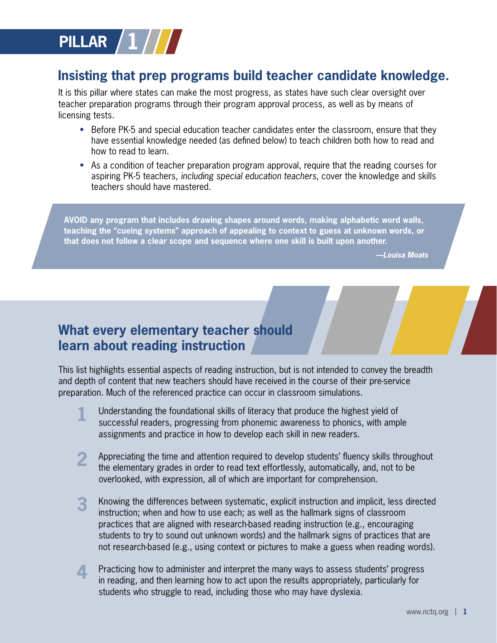

### **Insisting that prep programs build teacher candidate knowledge.**

It is this pillar where states can make the most progress, as states have such clear oversight over teacher preparation programs through their program approval process, as well as by means of licensing tests.

- Before PK-5 and special education teacher candidates enter the classroom, ensure that they have essential knowledge needed (as defined below) to teach children both how to read and how to read to learn.
- As a condition of teacher preparation program approval, require that the reading courses for aspiring PK-5 teachers, including special education teachers, cover the knowledge and skills teachers should have mastered.

**AVOID any program that includes drawing shapes around words, making alphabetic word walls, teaching the "cueing systems" approach of appealing to context to guess at unknown words, or that does not follow a clear scope and sequence where one skill is built upon another.**

 **—Louisa Moats**

## **What every elementary teacher should learn about reading instruction**

This list highlights essential aspects of reading instruction, but is not intended to convey the breadth and depth of content that new teachers should have received in the course of their pre-service preparation. Much of the referenced practice can occur in classroom simulations.

- **1** Understanding the foundational skills of literacy that produce the highest yield of successful readers, progressing from phonemic awareness to phonics, with ample assignments and practice in how to develop each skill in new readers.
- **2** Appreciating the time and attention required to develop students' fluency skills throughout the elementary grades in order to read text effortlessly, automatically, and, not to be overlooked, with expression, all of which are important for comprehension.
- **3** Knowing the differences between systematic, explicit instruction and implicit, less directed instruction; when and how to use each; as well as the hallmark signs of classroom practices that are aligned with research-based reading instruction (e.g., encouraging students to try to sound out unknown words) and the hallmark signs of practices that are not research-based (e.g., using context or pictures to make a guess when reading words).
- **4** Practicing how to administer and interpret the many ways to assess students' progress in reading, and then learning how to act upon the results appropriately, particularly for students who struggle to read, including those who may have dyslexia.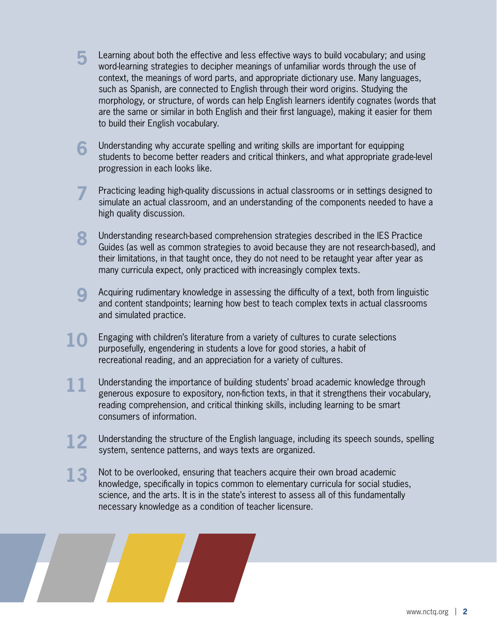- **5** Learning about both the effective and less effective ways to build vocabulary; and using word-learning strategies to decipher meanings of unfamiliar words through the use of context, the meanings of word parts, and appropriate dictionary use. Many languages, such as Spanish, are connected to English through their word origins. Studying the morphology, or structure, of words can help English learners identify cognates (words that are the same or similar in both English and their first language), making it easier for them to build their English vocabulary.
- **6** Understanding why accurate spelling and writing skills are important for equipping students to become better readers and critical thinkers, and what appropriate grade-level progression in each looks like.
- **7** Practicing leading high-quality discussions in actual classrooms or in settings designed to simulate an actual classroom, and an understanding of the components needed to have a high quality discussion.
- **8** Understanding research-based comprehension strategies described in the IES Practice Guides (as well as common strategies to avoid because they are not research-based), and their limitations, in that taught once, they do not need to be retaught year after year as many curricula expect, only practiced with increasingly complex texts.
- **9** Acquiring rudimentary knowledge in assessing the difficulty of a text, both from linguistic and content standpoints; learning how best to teach complex texts in actual classrooms and simulated practice.
- **10** Engaging with children's literature from a variety of cultures to curate selections purposefully, engendering in students a love for good stories, a habit of recreational reading, and an appreciation for a variety of cultures.
- 11 Understanding the importance of building students' broad academic knowledge through generous exposure to expository, non-fiction texts, in that it strengthens their vocabulary, reading comprehension, and critical thinking skills, including learning to be smart consumers of information.
- **12** Understanding the structure of the English language, including its speech sounds, spelling system, sentence patterns, and ways texts are organized.
- **13** Not to be overlooked, ensuring that teachers acquire their own broad academic knowledge, specifically in topics common to elementary curricula for social studies, science, and the arts. It is in the state's interest to assess all of this fundamentally necessary knowledge as a condition of teacher licensure.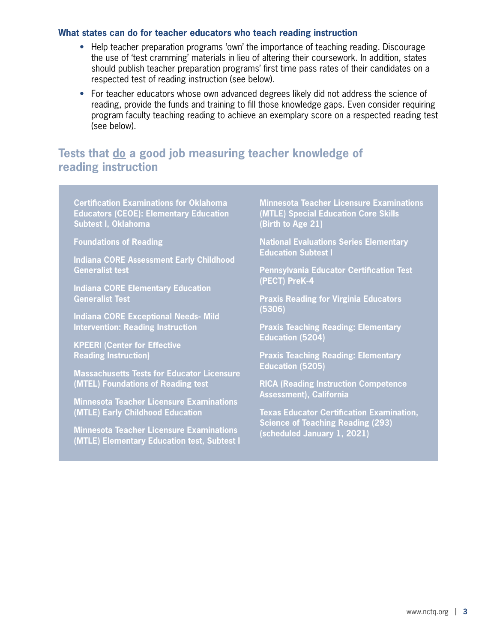#### **What states can do for teacher educators who teach reading instruction**

- Help teacher preparation programs 'own' the importance of teaching reading. Discourage the use of 'test cramming' materials in lieu of altering their coursework. In addition, states should publish teacher preparation programs' first time pass rates of their candidates on a respected test of reading instruction (see below).
- For teacher educators whose own advanced degrees likely did not address the science of reading, provide the funds and training to fill those knowledge gaps. Even consider requiring program faculty teaching reading to achieve an exemplary score on a respected reading test (see below).

#### **Tests that do a good job measuring teacher knowledge of reading instruction**

**Certification Examinations for Oklahoma Educators (CEOE): Elementary Education Subtest I, Oklahoma**

**Foundations of Reading**

**Indiana CORE Assessment Early Childhood Generalist test**

**Indiana CORE Elementary Education Generalist Test**

**Indiana CORE Exceptional Needs- Mild Intervention: Reading Instruction**

**KPEERI (Center for Effective Reading Instruction)**

**Massachusetts Tests for Educator Licensure (MTEL) Foundations of Reading test**

**Minnesota Teacher Licensure Examinations (MTLE) Early Childhood Education**

**Minnesota Teacher Licensure Examinations (MTLE) Elementary Education test, Subtest I** **Minnesota Teacher Licensure Examinations (MTLE) Special Education Core Skills (Birth to Age 21)**

**National Evaluations Series Elementary Education Subtest I**

**Pennsylvania Educator Certification Test (PECT) PreK-4**

**Praxis Reading for Virginia Educators (5306)**

**Praxis Teaching Reading: Elementary Education (5204)**

**Praxis Teaching Reading: Elementary Education (5205)**

**RICA (Reading Instruction Competence Assessment), California**

**Texas Educator Certification Examination, Science of Teaching Reading (293) (scheduled January 1, 2021)**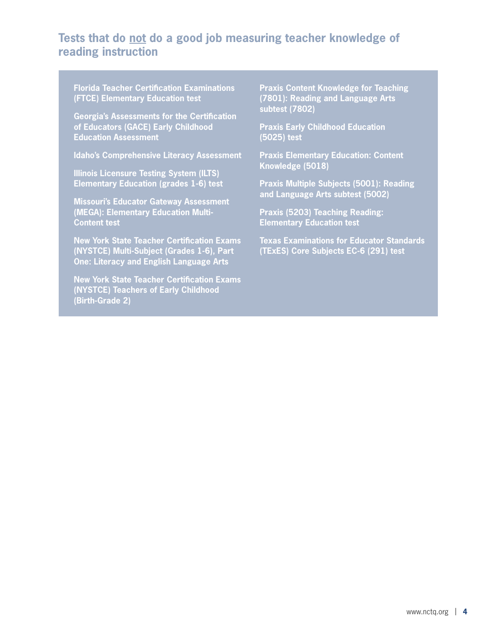#### **Tests that do not do a good job measuring teacher knowledge of reading instruction**

**Florida Teacher Certification Examinations (FTCE) Elementary Education test**

**Georgia's Assessments for the Certification of Educators (GACE) Early Childhood Education Assessment**

**Idaho's Comprehensive Literacy Assessment**

**Illinois Licensure Testing System (ILTS) Elementary Education (grades 1-6) test**

**Missouri's Educator Gateway Assessment (MEGA): Elementary Education Multi-Content test**

**New York State Teacher Certification Exams (NYSTCE) Multi-Subject (Grades 1-6), Part One: Literacy and English Language Arts**

**New York State Teacher Certification Exams (NYSTCE) Teachers of Early Childhood (Birth-Grade 2)**

**Praxis Content Knowledge for Teaching (7801): Reading and Language Arts subtest (7802)**

**Praxis Early Childhood Education (5025) test**

**Praxis Elementary Education: Content Knowledge (5018)**

**Praxis Multiple Subjects (5001): Reading and Language Arts subtest (5002)**

**Praxis (5203) Teaching Reading: Elementary Education test**

**Texas Examinations for Educator Standards (TExES) Core Subjects EC-6 (291) test**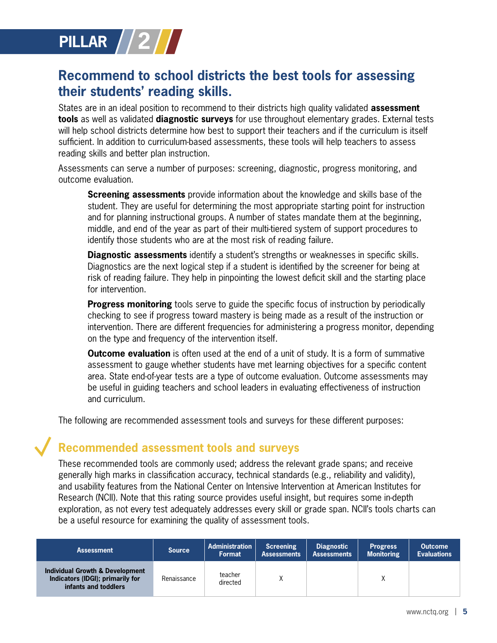

## **Recommend to school districts the best tools for assessing their students' reading skills.**

States are in an ideal position to recommend to their districts high quality validated **assessment tools** as well as validated **diagnostic surveys** for use throughout elementary grades. External tests will help school districts determine how best to support their teachers and if the curriculum is itself sufficient. In addition to curriculum-based assessments, these tools will help teachers to assess reading skills and better plan instruction.

Assessments can serve a number of purposes: screening, diagnostic, progress monitoring, and outcome evaluation.

**Screening assessments** provide information about the knowledge and skills base of the student. They are useful for determining the most appropriate starting point for instruction and for planning instructional groups. A number of states mandate them at the beginning, middle, and end of the year as part of their multi-tiered system of support procedures to identify those students who are at the most risk of reading failure.

**Diagnostic assessments** identify a student's strengths or weaknesses in specific skills. Diagnostics are the next logical step if a student is identified by the screener for being at risk of reading failure. They help in pinpointing the lowest deficit skill and the starting place for intervention.

**Progress monitoring** tools serve to guide the specific focus of instruction by periodically checking to see if progress toward mastery is being made as a result of the instruction or intervention. There are different frequencies for administering a progress monitor, depending on the type and frequency of the intervention itself.

**Outcome evaluation** is often used at the end of a unit of study. It is a form of summative assessment to gauge whether students have met learning objectives for a specific content area. State end-of-year tests are a type of outcome evaluation. Outcome assessments may be useful in guiding teachers and school leaders in evaluating effectiveness of instruction and curriculum.

The following are recommended assessment tools and surveys for these different purposes:

#### **Recommended assessment tools and surveys**

These recommended tools are commonly used; address the relevant grade spans; and receive generally high marks in classification accuracy, technical standards (e.g., reliability and validity), and usability features from the National Center on Intensive Intervention at American Institutes for Research (NCII). Note that this rating source provides useful insight, but requires some in-depth exploration, as not every test adequately addresses every skill or grade span. NCII's tools charts can be a useful resource for examining the quality of assessment tools.

| <b>Assessment</b>                                                                           | <b>Source</b> | <b>Administration</b><br><b>Format</b> | <b>Screening</b><br><b>Assessments</b> | Diagnostic<br><b>Assessments</b> | <b>Progress</b><br><b>Monitoring</b> | <b>Outcome</b><br><b>Evaluations</b> |
|---------------------------------------------------------------------------------------------|---------------|----------------------------------------|----------------------------------------|----------------------------------|--------------------------------------|--------------------------------------|
| Individual Growth & Development<br>Indicators (IDGI); primarily for<br>infants and toddlers | Renaissance   | teacher<br>directed                    |                                        |                                  |                                      |                                      |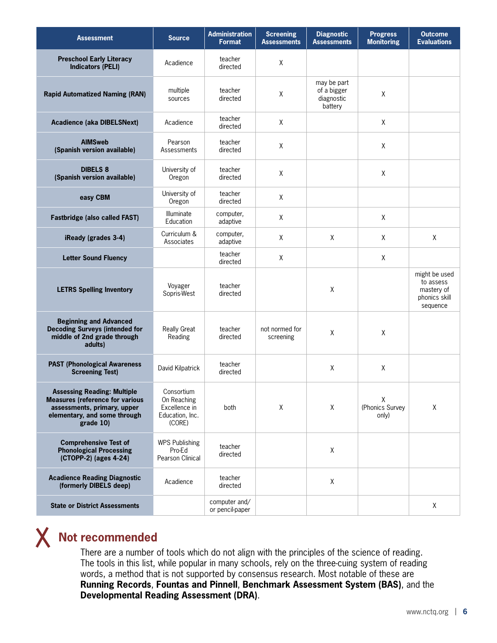| <b>Assessment</b>                                                                                                                                        | <b>Source</b>                                                           | <b>Administration</b><br><b>Format</b> | <b>Screening</b><br><b>Assessments</b> | <b>Diagnostic</b><br><b>Assessments</b>             | <b>Progress</b><br><b>Monitoring</b> | <b>Outcome</b><br><b>Evaluations</b>                                  |
|----------------------------------------------------------------------------------------------------------------------------------------------------------|-------------------------------------------------------------------------|----------------------------------------|----------------------------------------|-----------------------------------------------------|--------------------------------------|-----------------------------------------------------------------------|
| <b>Preschool Early Literacy</b><br><b>Indicators (PELI)</b>                                                                                              | Acadience                                                               | teacher<br>directed                    | X                                      |                                                     |                                      |                                                                       |
| <b>Rapid Automatized Naming (RAN)</b>                                                                                                                    | multiple<br>sources                                                     | teacher<br>directed                    | $\mathsf X$                            | may be part<br>of a bigger<br>diagnostic<br>battery | X                                    |                                                                       |
| <b>Acadience (aka DIBELSNext)</b>                                                                                                                        | Acadience                                                               | teacher<br>directed                    | X                                      |                                                     | X                                    |                                                                       |
| <b>AIMSweb</b><br>(Spanish version available)                                                                                                            | Pearson<br>Assessments                                                  | teacher<br>directed                    | X                                      |                                                     | X                                    |                                                                       |
| <b>DIBELS 8</b><br>(Spanish version available)                                                                                                           | University of<br>Oregon                                                 | teacher<br>directed                    | Χ                                      |                                                     | Χ                                    |                                                                       |
| easy CBM                                                                                                                                                 | University of<br>Oregon                                                 | teacher<br>directed                    | X                                      |                                                     |                                      |                                                                       |
| <b>Fastbridge (also called FAST)</b>                                                                                                                     | <b>Illuminate</b><br>Education                                          | computer,<br>adaptive                  | X                                      |                                                     | X                                    |                                                                       |
| iReady (grades 3-4)                                                                                                                                      | Curriculum &<br>Associates                                              | computer,<br>adaptive                  | X                                      | Χ                                                   | X                                    | Χ                                                                     |
| <b>Letter Sound Fluency</b>                                                                                                                              |                                                                         | teacher<br>directed                    | X                                      |                                                     | X                                    |                                                                       |
| <b>LETRS Spelling Inventory</b>                                                                                                                          | Voyager<br>Sopris-West                                                  | teacher<br>directed                    |                                        | Χ                                                   |                                      | might be used<br>to assess<br>mastery of<br>phonics skill<br>sequence |
| <b>Beginning and Advanced</b><br><b>Decoding Surveys (intended for</b><br>middle of 2nd grade through<br>adults)                                         | <b>Really Great</b><br>Reading                                          | teacher<br>directed                    | not normed for<br>screening            | Χ                                                   | X                                    |                                                                       |
| <b>PAST (Phonological Awareness</b><br><b>Screening Test)</b>                                                                                            | David Kilpatrick                                                        | teacher<br>directed                    |                                        | Χ                                                   | Χ                                    |                                                                       |
| <b>Assessing Reading: Multiple</b><br><b>Measures (reference for various</b><br>assessments, primary, upper<br>elementary, and some through<br>grade 10) | Consortium<br>On Reaching<br>Excellence in<br>Education, Inc.<br>(CORE) | both                                   | Χ                                      | Χ                                                   | Χ<br>(Phonics Survey<br>only)        | Χ                                                                     |
| <b>Comprehensive Test of</b><br><b>Phonological Processing</b><br>(CTOPP-2) (ages 4-24)                                                                  | <b>WPS Publishing</b><br>Pro-Ed<br>Pearson Clinical                     | teacher<br>directed                    |                                        | X                                                   |                                      |                                                                       |
| <b>Acadience Reading Diagnostic</b><br>(formerly DIBELS deep)                                                                                            | Acadience                                                               | teacher<br>directed                    |                                        | $\mathsf X$                                         |                                      |                                                                       |
| <b>State or District Assessments</b>                                                                                                                     |                                                                         | computer and/<br>or pencil-paper       |                                        |                                                     |                                      | X                                                                     |

## **Not recommended**

There are a number of tools which do not align with the principles of the science of reading. The tools in this list, while popular in many schools, rely on the three-cuing system of reading words, a method that is not supported by consensus research. Most notable of these are **Running Records**, **Fountas and Pinnell**, **Benchmark Assessment System (BAS)**, and the **Developmental Reading Assessment (DRA)**.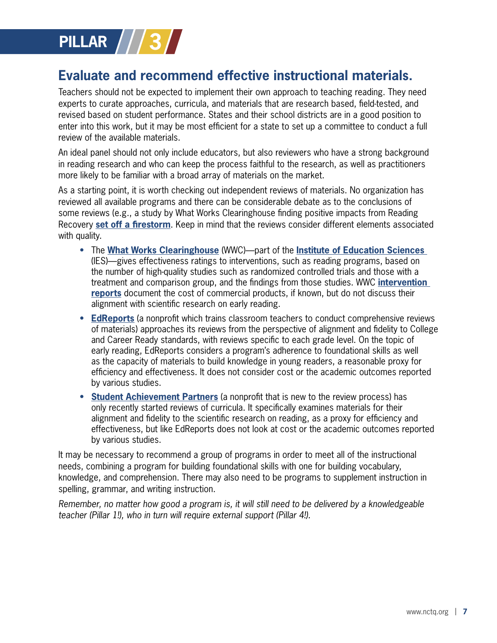

## **Evaluate and recommend effective instructional materials.**

Teachers should not be expected to implement their own approach to teaching reading. They need experts to curate approaches, curricula, and materials that are research based, field-tested, and revised based on student performance. States and their school districts are in a good position to enter into this work, but it may be most efficient for a state to set up a committee to conduct a full review of the available materials.

An ideal panel should not only include educators, but also reviewers who have a strong background in reading research and who can keep the process faithful to the research, as well as practitioners more likely to be familiar with a broad array of materials on the market.

As a starting point, it is worth checking out independent reviews of materials. No organization has reviewed all available programs and there can be considerable debate as to the conclusions of some reviews (e.g., a study by What Works Clearinghouse finding positive impacts from Reading Recovery **set off a firestorm**. Keep in mind that the reviews consider different elements associated with quality.

- The **What Works Clearinghouse** (WWC)—part of the **Institute of Education Sciences**  (IES)—gives effectiveness ratings to interventions, such as reading programs, based on the number of high-quality studies such as randomized controlled trials and those with a treatment and comparison group, and the findings from those studies. WWC **intervention reports** document the cost of commercial products, if known, but do not discuss their alignment with scientific research on early reading.
- **EdReports** (a nonprofit which trains classroom teachers to conduct comprehensive reviews of materials) approaches its reviews from the perspective of alignment and fidelity to College and Career Ready standards, with reviews specific to each grade level. On the topic of early reading, EdReports considers a program's adherence to foundational skills as well as the capacity of materials to build knowledge in young readers, a reasonable proxy for efficiency and effectiveness. It does not consider cost or the academic outcomes reported by various studies.
- **Student Achievement Partners** (a nonprofit that is new to the review process) has only recently started reviews of curricula. It specifically examines materials for their alignment and fidelity to the scientific research on reading, as a proxy for efficiency and effectiveness, but like EdReports does not look at cost or the academic outcomes reported by various studies.

It may be necessary to recommend a group of programs in order to meet all of the instructional needs, combining a program for building foundational skills with one for building vocabulary, knowledge, and comprehension. There may also need to be programs to supplement instruction in spelling, grammar, and writing instruction.

Remember, no matter how good a program is, it will still need to be delivered by a knowledgeable teacher (Pillar 1!), who in turn will require external support (Pillar 4!).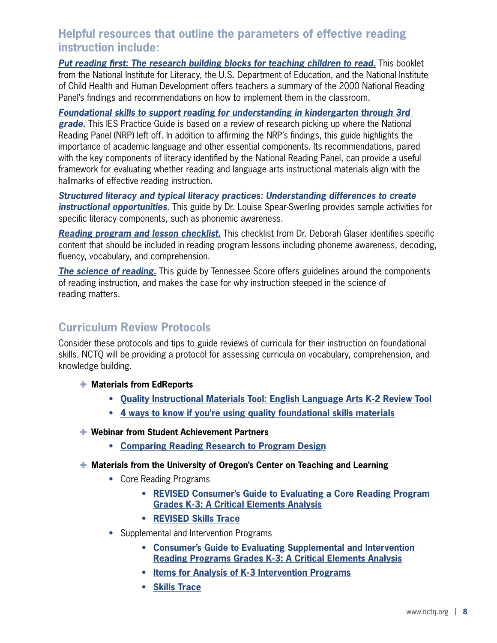#### **Helpful resources that outline the parameters of effective reading instruction include:**

**Put reading first: The research building blocks for teaching children to read.** This booklet from the National Institute for Literacy, the U.S. Department of Education, and the National Institute of Child Health and Human Development offers teachers a summary of the 2000 National Reading Panel's findings and recommendations on how to implement them in the classroom.

**Foundational skills to support reading for understanding in kindergarten through 3rd grade.** This IES Practice Guide is based on a review of research picking up where the National Reading Panel (NRP) left off. In addition to affirming the NRP's findings, this guide highlights the importance of academic language and other essential components. Its recommendations, paired with the key components of literacy identified by the National Reading Panel, can provide a useful framework for evaluating whether reading and language arts instructional materials align with the hallmarks of effective reading instruction.

**Structured literacy and typical literacy practices: Understanding differences to create instructional opportunities.** This guide by Dr. Louise Spear-Swerling provides sample activities for specific literacy components, such as phonemic awareness.

**Reading program and lesson checklist.** This checklist from Dr. Deborah Glaser identifies specific content that should be included in reading program lessons including phoneme awareness, decoding, fluency, vocabulary, and comprehension.

**The science of reading.** This guide by Tennessee Score offers guidelines around the components of reading instruction, and makes the case for why instruction steeped in the science of reading matters.

#### **Curriculum Review Protocols**

Consider these protocols and tips to guide reviews of curricula for their instruction on foundational skills. NCTQ will be providing a protocol for assessing curricula on vocabulary, comprehension, and knowledge building.

- ® **Materials from EdReports**
	- **Quality Instructional Materials Tool: English Language Arts K-2 Review Tool**
	- **4 ways to know if you're using quality foundational skills materials**
- ® **Webinar from Student Achievement Partners**
	- **Comparing Reading Research to Program Design**
- ® **Materials from the University of Oregon's Center on Teaching and Learning**
	- Core Reading Programs
		- **REVISED Consumer's Guide to Evaluating a Core Reading Program Grades K-3: A Critical Elements Analysis**
		- **REVISED Skills Trace**
	- Supplemental and Intervention Programs
		- **Consumer's Guide to Evaluating Supplemental and Intervention Reading Programs Grades K-3: A Critical Elements Analysis**
		- **Items for Analysis of K-3 Intervention Programs**
		- **Skills Trace**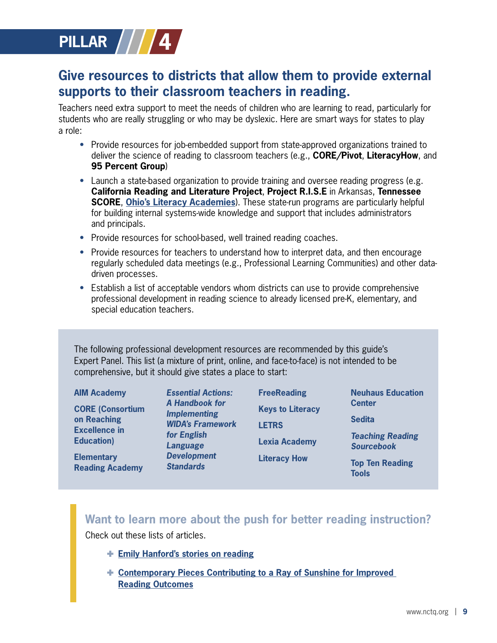

## **Give resources to districts that allow them to provide external supports to their classroom teachers in reading.**

Teachers need extra support to meet the needs of children who are learning to read, particularly for students who are really struggling or who may be dyslexic. Here are smart ways for states to play a role:

- Provide resources for job-embedded support from state-approved organizations trained to deliver the science of reading to classroom teachers (e.g., **CORE/Pivot**, **LiteracyHow**, and **95 Percent Group**)
- Launch a state-based organization to provide training and oversee reading progress (e.g. **California Reading and Literature Project**, **Project R.I.S.E** in Arkansas, **Tennessee SCORE**, **Ohio's Literacy Academies**). These state-run programs are particularly helpful for building internal systems-wide knowledge and support that includes administrators and principals.
- Provide resources for school-based, well trained reading coaches.
- Provide resources for teachers to understand how to interpret data, and then encourage regularly scheduled data meetings (e.g., Professional Learning Communities) and other datadriven processes.
- Establish a list of acceptable vendors whom districts can use to provide comprehensive professional development in reading science to already licensed pre-K, elementary, and special education teachers.

The following professional development resources are recommended by this guide's Expert Panel. This list (a mixture of print, online, and face-to-face) is not intended to be comprehensive, but it should give states a place to start:

#### **Want to learn more about the push for better reading instruction?**

Check out these lists of articles.

- ® **Emily Hanford's stories on reading**
- ® **Contemporary Pieces Contributing to a Ray of Sunshine for Improved Reading Outcomes**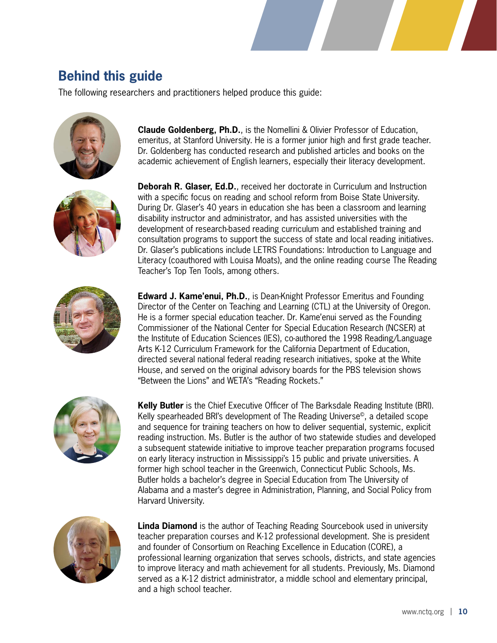## **Behind this guide**

The following researchers and practitioners helped produce this guide:





**Claude Goldenberg, Ph.D.**, is the Nomellini & Olivier Professor of Education, emeritus, at Stanford University. He is a former junior high and first grade teacher. Dr. Goldenberg has conducted research and published articles and books on the academic achievement of English learners, especially their literacy development.

**Deborah R. Glaser, Ed.D.**, received her doctorate in Curriculum and Instruction with a specific focus on reading and school reform from Boise State University. During Dr. Glaser's 40 years in education she has been a classroom and learning disability instructor and administrator, and has assisted universities with the development of research-based reading curriculum and established training and consultation programs to support the success of state and local reading initiatives. Dr. Glaser's publications include LETRS Foundations: Introduction to Language and Literacy (coauthored with Louisa Moats), and the online reading course The Reading Teacher's Top Ten Tools, among others.



**Edward J. Kame'enui, Ph.D.**, is Dean-Knight Professor Emeritus and Founding Director of the Center on Teaching and Learning (CTL) at the University of Oregon. He is a former special education teacher. Dr. Kame'enui served as the Founding Commissioner of the National Center for Special Education Research (NCSER) at the Institute of Education Sciences (IES), co-authored the 1998 Reading/Language Arts K-12 Curriculum Framework for the California Department of Education, directed several national federal reading research initiatives, spoke at the White House, and served on the original advisory boards for the PBS television shows "Between the Lions" and WETA's "Reading Rockets."



**Kelly Butler** is the Chief Executive Officer of The Barksdale Reading Institute (BRI). Kelly spearheaded BRI's development of The Reading Universe©, a detailed scope and sequence for training teachers on how to deliver sequential, systemic, explicit reading instruction. Ms. Butler is the author of two statewide studies and developed a subsequent statewide initiative to improve teacher preparation programs focused on early literacy instruction in Mississippi's 15 public and private universities. A former high school teacher in the Greenwich, Connecticut Public Schools, Ms. Butler holds a bachelor's degree in Special Education from The University of Alabama and a master's degree in Administration, Planning, and Social Policy from Harvard University.



**Linda Diamond** is the author of Teaching Reading Sourcebook used in university teacher preparation courses and K-12 professional development. She is president and founder of Consortium on Reaching Excellence in Education (CORE), a professional learning organization that serves schools, districts, and state agencies to improve literacy and math achievement for all students. Previously, Ms. Diamond served as a K-12 district administrator, a middle school and elementary principal, and a high school teacher.